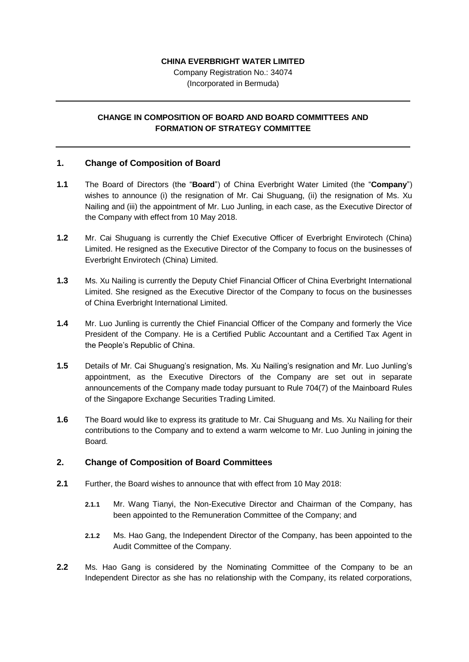### **CHINA EVERBRIGHT WATER LIMITED**

Company Registration No.: 34074 (Incorporated in Bermuda)

# **CHANGE IN COMPOSITION OF BOARD AND BOARD COMMITTEES AND FORMATION OF STRATEGY COMMITTEE**

## **1. Change of Composition of Board**

- **1.1** The Board of Directors (the "**Board**") of China Everbright Water Limited (the "**Company**") wishes to announce (i) the resignation of Mr. Cai Shuguang, (ii) the resignation of Ms. Xu Nailing and (iii) the appointment of Mr. Luo Junling, in each case, as the Executive Director of the Company with effect from 10 May 2018.
- **1.2** Mr. Cai Shuguang is currently the Chief Executive Officer of Everbright Envirotech (China) Limited. He resigned as the Executive Director of the Company to focus on the businesses of Everbright Envirotech (China) Limited.
- **1.3** Ms. Xu Nailing is currently the Deputy Chief Financial Officer of China Everbright International Limited. She resigned as the Executive Director of the Company to focus on the businesses of China Everbright International Limited.
- **1.4** Mr. Luo Junling is currently the Chief Financial Officer of the Company and formerly the Vice President of the Company. He is a Certified Public Accountant and a Certified Tax Agent in the People's Republic of China.
- **1.5** Details of Mr. Cai Shuguang's resignation, Ms. Xu Nailing's resignation and Mr. Luo Junling's appointment, as the Executive Directors of the Company are set out in separate announcements of the Company made today pursuant to Rule 704(7) of the Mainboard Rules of the Singapore Exchange Securities Trading Limited.
- **1.6** The Board would like to express its gratitude to Mr. Cai Shuguang and Ms. Xu Nailing for their contributions to the Company and to extend a warm welcome to Mr. Luo Junling in joining the Board.

# **2. Change of Composition of Board Committees**

- <span id="page-0-0"></span>**2.1** Further, the Board wishes to announce that with effect from 10 May 2018:
	- **2.1.1** Mr. Wang Tianyi, the Non-Executive Director and Chairman of the Company, has been appointed to the Remuneration Committee of the Company; and
	- **2.1.2** Ms. Hao Gang, the Independent Director of the Company, has been appointed to the Audit Committee of the Company.
- **2.2** Ms. Hao Gang is considered by the Nominating Committee of the Company to be an Independent Director as she has no relationship with the Company, its related corporations,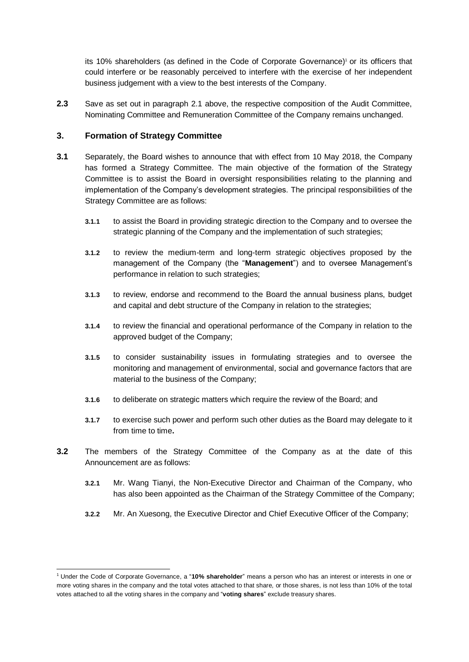its 10% shareholders (as defined in the Code of Corporate Governance)<sup>1</sup> or its officers that could interfere or be reasonably perceived to interfere with the exercise of her independent business judgement with a view to the best interests of the Company.

**2.3** Save as set out in paragraph [2.1](#page-0-0) above, the respective composition of the Audit Committee, Nominating Committee and Remuneration Committee of the Company remains unchanged.

## **3. Formation of Strategy Committee**

- **3.1** Separately, the Board wishes to announce that with effect from 10 May 2018, the Company has formed a Strategy Committee. The main objective of the formation of the Strategy Committee is to assist the Board in oversight responsibilities relating to the planning and implementation of the Company's development strategies. The principal responsibilities of the Strategy Committee are as follows:
	- **3.1.1** to assist the Board in providing strategic direction to the Company and to oversee the strategic planning of the Company and the implementation of such strategies;
	- **3.1.2** to review the medium-term and long-term strategic objectives proposed by the management of the Company (the "**Management**") and to oversee Management's performance in relation to such strategies;
	- **3.1.3** to review, endorse and recommend to the Board the annual business plans, budget and capital and debt structure of the Company in relation to the strategies;
	- **3.1.4** to review the financial and operational performance of the Company in relation to the approved budget of the Company;
	- **3.1.5** to consider sustainability issues in formulating strategies and to oversee the monitoring and management of environmental, social and governance factors that are material to the business of the Company;
	- **3.1.6** to deliberate on strategic matters which require the review of the Board; and
	- **3.1.7** to exercise such power and perform such other duties as the Board may delegate to it from time to time**.**
- **3.2** The members of the Strategy Committee of the Company as at the date of this Announcement are as follows:
	- **3.2.1** Mr. Wang Tianyi, the Non-Executive Director and Chairman of the Company, who has also been appointed as the Chairman of the Strategy Committee of the Company;
	- **3.2.2** Mr. An Xuesong, the Executive Director and Chief Executive Officer of the Company;

<sup>-</sup><sup>1</sup> Under the Code of Corporate Governance, a "**10% shareholder**" means a person who has an interest or interests in one or more voting shares in the company and the total votes attached to that share, or those shares, is not less than 10% of the total votes attached to all the voting shares in the company and "**voting shares**" exclude treasury shares.